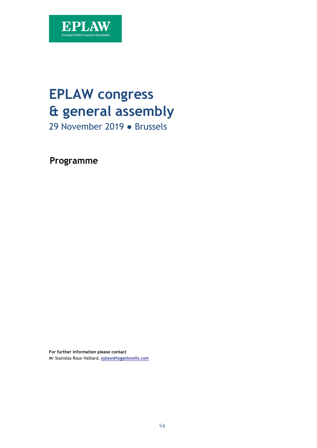

# **EPLAW congress & general assembly**

29 November 2019 ● Brussels

**Programme** 

**For further information please contact**  Mr Stanislas Roux-Vaillard, [eplaw@hoganlovells.com](mailto:eplaw@hoganlovells.com)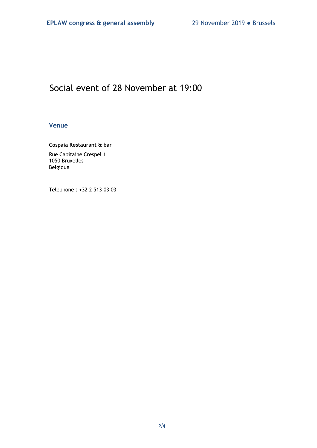## Social event of 28 November at 19:00

### **Venue**

### **Cospaia Restaurant & bar**

Rue Capitaine Crespel 1 1050 Bruxelles Belgique

Telephone : +32 2 513 03 03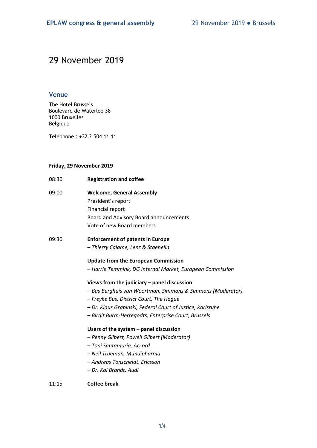## 29 November 2019

### **Venue**

The Hotel Brussels Boulevard de Waterloo 38 1000 Bruxelles Belgique

Telephone : +32 2 504 11 11

#### **Friday, 29 November 2019**

| 08:30 | <b>Registration and coffee</b>                             |
|-------|------------------------------------------------------------|
| 09:00 | <b>Welcome, General Assembly</b>                           |
|       | President's report                                         |
|       | <b>Financial report</b>                                    |
|       | Board and Advisory Board announcements                     |
|       | Vote of new Board members                                  |
| 09:30 | <b>Enforcement of patents in Europe</b>                    |
|       | - Thierry Calame, Lenz & Staehelin                         |
|       | <b>Update from the European Commission</b>                 |
|       | - Harrie Temmink, DG Internal Market, European Commission  |
|       | Views from the judiciary $-$ panel discussion              |
|       | - Bas Berghuis van Woortman, Simmons & Simmons (Moderator) |
|       | - Freyke Bus, District Court, The Hague                    |
|       | - Dr. Klaus Grabinski, Federal Court of Justice, Karlsruhe |
|       | - Birgit Burm-Herregodts, Enterprise Court, Brussels       |
|       | Users of the system $-$ panel discussion                   |
|       | - Penny Gilbert, Powell Gilbert (Moderator)                |
|       | - Toni Santamaria, Accord                                  |
|       | - Neil Trueman, Mundipharma                                |
|       | - Andreas Tonscheidt, Ericsson                             |
|       | - Dr. Kai Brandt, Audi                                     |
| 11:15 | Coffee break                                               |